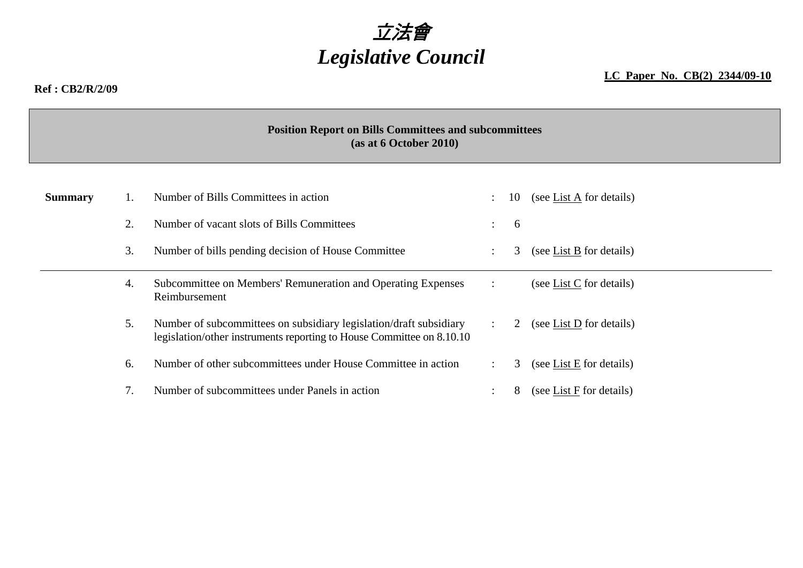# 立法會 *Legislative Council*

#### **LC Paper No. CB(2) 2344/09-10**

#### **Ref : CB2/R/2/09**

**Position Report on Bills Committees and subcommittees (as at 6 October 2010)** 

| <b>Summary</b> |    | Number of Bills Committees in action                                                                                                        |                      | 10 | (see List A for details)   |
|----------------|----|---------------------------------------------------------------------------------------------------------------------------------------------|----------------------|----|----------------------------|
|                | 2. | Number of vacant slots of Bills Committees                                                                                                  | $\bullet$            | 6  |                            |
|                | 3. | Number of bills pending decision of House Committee                                                                                         |                      | 3  | (see List B for details)   |
|                | 4. | Subcommittee on Members' Remuneration and Operating Expenses<br>Reimbursement                                                               |                      |    | (see List C for details)   |
|                | 5. | Number of subcommittees on subsidiary legislation/draft subsidiary<br>legislation/other instruments reporting to House Committee on 8.10.10 | $\ddot{\phantom{a}}$ | 2  | (see List $D$ for details) |
|                | 6. | Number of other subcommittees under House Committee in action                                                                               |                      | 3  | (see List E for details)   |
|                |    | Number of subcommittees under Panels in action                                                                                              |                      | 8  | (see List F for details)   |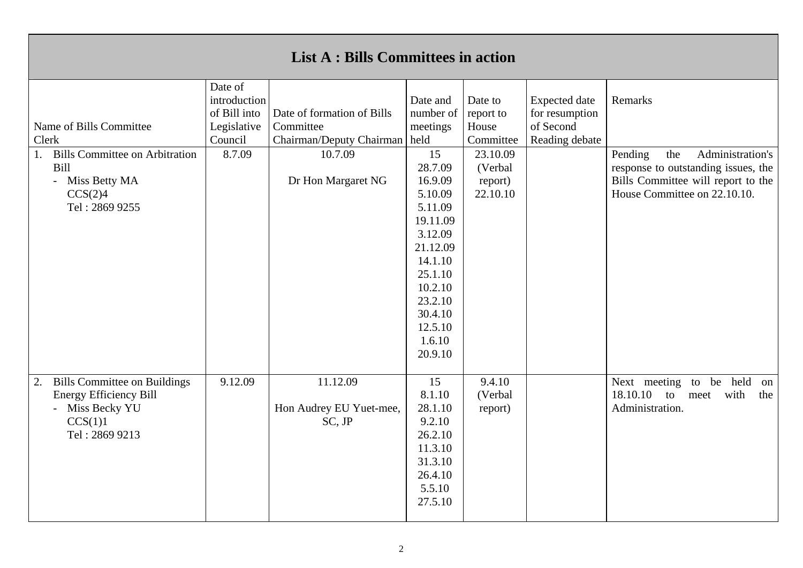| <b>List A: Bills Committees in action</b>                                                                                  |                                                                            |                                               |                                                                                                                                                                          |                                            |                                                                                                                                                                   |                                                                                           |  |  |
|----------------------------------------------------------------------------------------------------------------------------|----------------------------------------------------------------------------|-----------------------------------------------|--------------------------------------------------------------------------------------------------------------------------------------------------------------------------|--------------------------------------------|-------------------------------------------------------------------------------------------------------------------------------------------------------------------|-------------------------------------------------------------------------------------------|--|--|
| Name of Bills Committee<br>Clerk                                                                                           | Date of<br>introduction<br>of Bill into<br>Legislative<br>Council          | Date of formation of Bills<br>Committee       | Date and<br>number of<br>meetings                                                                                                                                        | Date to<br>report to<br>House<br>Committee | <b>Expected</b> date<br>for resumption<br>of Second                                                                                                               | Remarks                                                                                   |  |  |
| <b>Bills Committee on Arbitration</b><br>1.<br>Bill<br>- Miss Betty MA<br>CCS(2)4<br>Tel: 2869 9255                        | Chairman/Deputy Chairman   held<br>8.7.09<br>10.7.09<br>Dr Hon Margaret NG |                                               | 15<br>28.7.09<br>16.9.09<br>5.10.09<br>5.11.09<br>19.11.09<br>3.12.09<br>21.12.09<br>14.1.10<br>25.1.10<br>10.2.10<br>23.2.10<br>30.4.10<br>12.5.10<br>1.6.10<br>20.9.10 | 23.10.09<br>(Verbal<br>report)<br>22.10.10 | Reading debate<br>Administration's<br>Pending<br>the<br>response to outstanding issues, the<br>Bills Committee will report to the<br>House Committee on 22.10.10. |                                                                                           |  |  |
| <b>Bills Committee on Buildings</b><br>2.<br><b>Energy Efficiency Bill</b><br>- Miss Becky YU<br>CCS(1)1<br>Tel: 2869 9213 | 9.12.09                                                                    | 11.12.09<br>Hon Audrey EU Yuet-mee,<br>SC, JP | 15<br>8.1.10<br>28.1.10<br>9.2.10<br>26.2.10<br>11.3.10<br>31.3.10<br>26.4.10<br>5.5.10<br>27.5.10                                                                       | 9.4.10<br>(Verbal<br>report)               |                                                                                                                                                                   | be held<br>Next meeting to<br>on<br>18.10.10 to<br>with<br>the<br>meet<br>Administration. |  |  |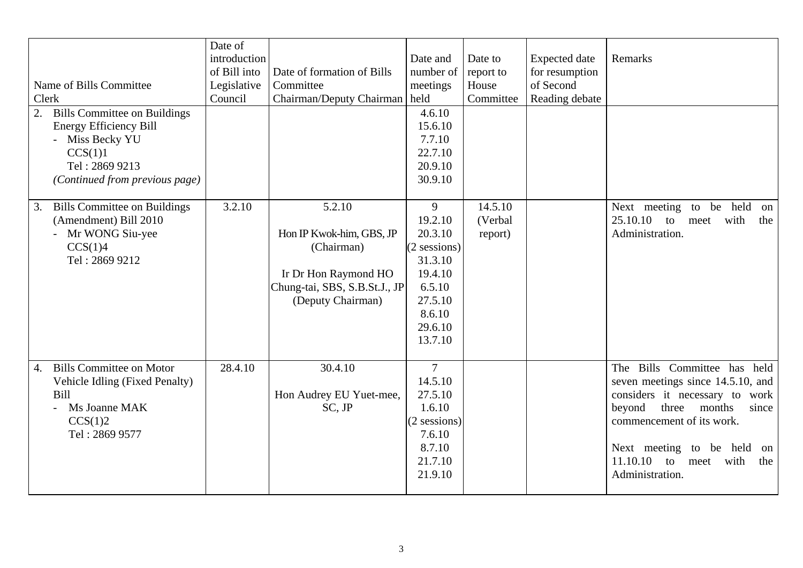| Name of Bills Committee<br>Clerk<br><b>Bills Committee on Buildings</b>                                                                     | Date of<br>introduction<br>of Bill into<br>Legislative<br>Council | Date of formation of Bills<br>Committee<br>Chairman/Deputy Chairman held                                                       | Date and<br>number of<br>meetings<br>4.6.10                                                                          | Date to<br>report to<br>House<br>Committee | <b>Expected</b> date<br>for resumption<br>of Second<br>Reading debate | Remarks                                                                                                                                                                                                                                                            |
|---------------------------------------------------------------------------------------------------------------------------------------------|-------------------------------------------------------------------|--------------------------------------------------------------------------------------------------------------------------------|----------------------------------------------------------------------------------------------------------------------|--------------------------------------------|-----------------------------------------------------------------------|--------------------------------------------------------------------------------------------------------------------------------------------------------------------------------------------------------------------------------------------------------------------|
| <b>Energy Efficiency Bill</b><br>- Miss Becky YU<br>CCS(1)1<br>Tel: 2869 9213<br>(Continued from previous page)                             |                                                                   |                                                                                                                                | 15.6.10<br>7.7.10<br>22.7.10<br>20.9.10<br>30.9.10                                                                   |                                            |                                                                       |                                                                                                                                                                                                                                                                    |
| <b>Bills Committee on Buildings</b><br>3.<br>(Amendment) Bill 2010<br>- Mr WONG Siu-yee<br>CCS(1)4<br>Tel: 2869 9212                        | 3.2.10                                                            | 5.2.10<br>Hon IP Kwok-him, GBS, JP<br>(Chairman)<br>Ir Dr Hon Raymond HO<br>Chung-tai, SBS, S.B.St.J., JP<br>(Deputy Chairman) | 9<br>19.2.10<br>20.3.10<br>$(2$ sessions)<br>31.3.10<br>19.4.10<br>6.5.10<br>27.5.10<br>8.6.10<br>29.6.10<br>13.7.10 | 14.5.10<br>(Verbal<br>report)              |                                                                       | Next meeting<br>to<br>be held<br>on<br>25.10.10<br>with<br>to<br>the<br>meet<br>Administration.                                                                                                                                                                    |
| <b>Bills Committee on Motor</b><br>$\overline{4}$ .<br>Vehicle Idling (Fixed Penalty)<br>Bill<br>Ms Joanne MAK<br>CCS(1)2<br>Tel: 2869 9577 | 28.4.10                                                           | 30.4.10<br>Hon Audrey EU Yuet-mee,<br>SC, JP                                                                                   | $\overline{7}$<br>14.5.10<br>27.5.10<br>1.6.10<br>$(2$ sessions)<br>7.6.10<br>8.7.10<br>21.7.10<br>21.9.10           |                                            |                                                                       | The Bills Committee has held<br>seven meetings since 14.5.10, and<br>considers it necessary to work<br>beyond<br>months<br>three<br>since<br>commencement of its work.<br>Next meeting to be held<br>on<br>$11.10.10$ to<br>with<br>meet<br>the<br>Administration. |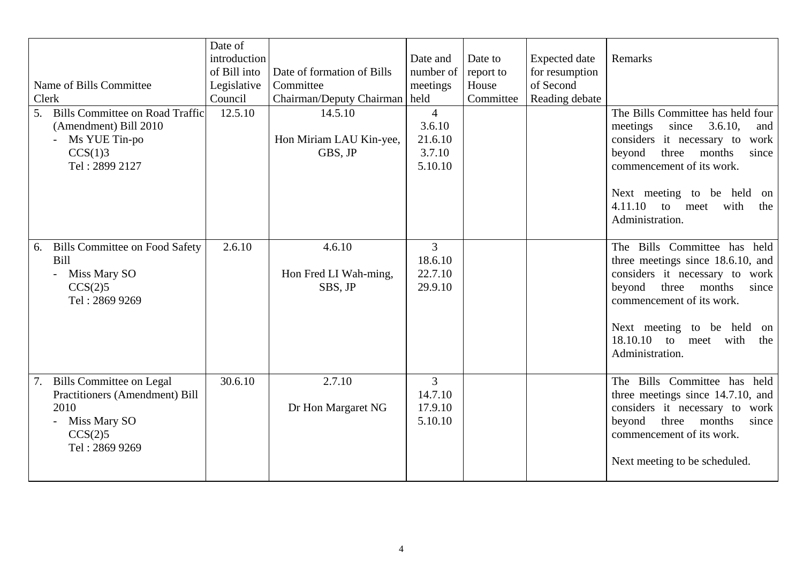|                                                                                                                                | Date of      |                                               |                                                          |           |                      |                                                                                                                                                                                                                |
|--------------------------------------------------------------------------------------------------------------------------------|--------------|-----------------------------------------------|----------------------------------------------------------|-----------|----------------------|----------------------------------------------------------------------------------------------------------------------------------------------------------------------------------------------------------------|
|                                                                                                                                | introduction |                                               | Date and                                                 | Date to   | <b>Expected</b> date | Remarks                                                                                                                                                                                                        |
|                                                                                                                                | of Bill into | Date of formation of Bills                    | number of                                                | report to | for resumption       |                                                                                                                                                                                                                |
| Name of Bills Committee                                                                                                        | Legislative  | Committee                                     | meetings                                                 | House     | of Second            |                                                                                                                                                                                                                |
| Clerk                                                                                                                          | Council      | Chairman/Deputy Chairman   held               |                                                          | Committee | Reading debate       |                                                                                                                                                                                                                |
| <b>Bills Committee on Road Traffic</b><br>5.<br>(Amendment) Bill 2010<br>- Ms YUE Tin-po<br>CCS(1)3<br>Tel: 2899 2127          | 12.5.10      | 14.5.10<br>Hon Miriam LAU Kin-yee,<br>GBS, JP | $\overline{4}$<br>3.6.10<br>21.6.10<br>3.7.10<br>5.10.10 |           |                      | The Bills Committee has held four<br>3.6.10,<br>meetings<br>since<br>and<br>considers it necessary to<br>work<br>three months<br>beyond<br>since<br>commencement of its work.<br>Next meeting to be held<br>on |
|                                                                                                                                |              |                                               |                                                          |           |                      | 4.11.10<br>with<br>to<br>meet<br>the<br>Administration.                                                                                                                                                        |
| <b>Bills Committee on Food Safety</b><br>6.<br>Bill<br>- Miss Mary SO<br>CCS(2)5<br>Tel: 2869 9269                             | 2.6.10       | 4.6.10<br>Hon Fred LI Wah-ming,<br>SBS, JP    | 3<br>18.6.10<br>22.7.10<br>29.9.10                       |           |                      | The Bills Committee has held<br>three meetings since 18.6.10, and<br>considers it necessary to work<br>beyond<br>three<br>months<br>since<br>commencement of its work.<br>Next meeting to be held on           |
|                                                                                                                                |              |                                               |                                                          |           |                      | 18.10.10 to meet<br>with<br>the<br>Administration.                                                                                                                                                             |
| <b>Bills Committee on Legal</b><br>7.<br>Practitioners (Amendment) Bill<br>2010<br>- Miss Mary SO<br>CCS(2)5<br>Tel: 2869 9269 | 30.6.10      | 2.7.10<br>Dr Hon Margaret NG                  | $\overline{3}$<br>14.7.10<br>17.9.10<br>5.10.10          |           |                      | The Bills Committee has held<br>three meetings since 14.7.10, and<br>considers it necessary to work<br>three months<br>beyond<br>since<br>commencement of its work.                                            |
|                                                                                                                                |              |                                               |                                                          |           |                      | Next meeting to be scheduled.                                                                                                                                                                                  |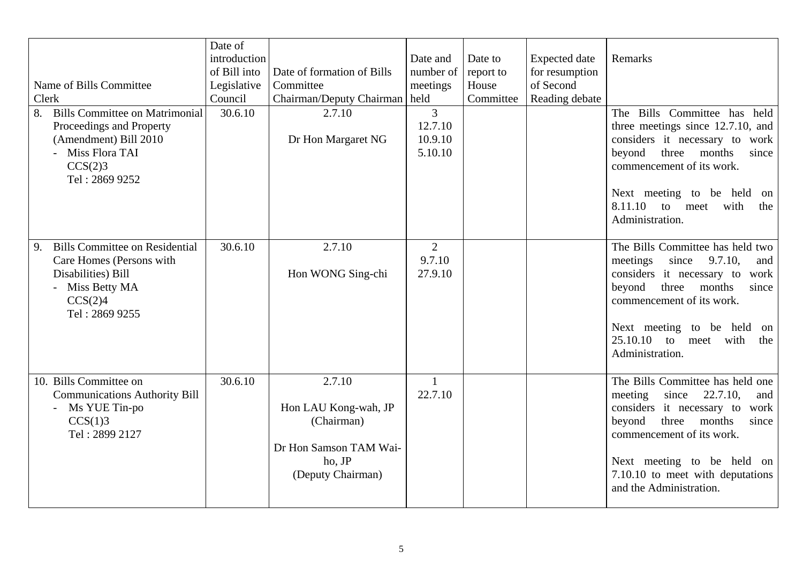| Name of Bills Committee<br>Clerk                                                                                                                | Date of<br>introduction<br>of Bill into<br>Legislative<br>Council | Date of formation of Bills<br>Committee<br>Chairman/Deputy Chairman   held                            | Date and<br>number of<br>meetings               | Date to<br>report to<br>House<br>Committee | <b>Expected</b> date<br>for resumption<br>of Second<br>Reading debate | Remarks                                                                                                                                                                                                                                                                      |
|-------------------------------------------------------------------------------------------------------------------------------------------------|-------------------------------------------------------------------|-------------------------------------------------------------------------------------------------------|-------------------------------------------------|--------------------------------------------|-----------------------------------------------------------------------|------------------------------------------------------------------------------------------------------------------------------------------------------------------------------------------------------------------------------------------------------------------------------|
| <b>Bills Committee on Matrimonial</b><br>8.<br>Proceedings and Property<br>(Amendment) Bill 2010<br>Miss Flora TAI<br>CCS(2)3<br>Tel: 2869 9252 | 30.6.10                                                           | 2.7.10<br>Dr Hon Margaret NG                                                                          | $\overline{3}$<br>12.7.10<br>10.9.10<br>5.10.10 |                                            |                                                                       | The Bills Committee has<br>held<br>three meetings since 12.7.10, and<br>considers it necessary to work<br>beyond<br>three months<br>since<br>commencement of its work.<br>Next meeting to be held on<br>8.11.10<br>to<br>with<br>meet<br>the<br>Administration.              |
| <b>Bills Committee on Residential</b><br>9.<br>Care Homes (Persons with<br>Disabilities) Bill<br>- Miss Betty MA<br>CCS(2)4<br>Tel: 2869 9255   | 30.6.10                                                           | 2.7.10<br>Hon WONG Sing-chi                                                                           | $\overline{2}$<br>9.7.10<br>27.9.10             |                                            |                                                                       | The Bills Committee has held two<br>meetings<br>since 9.7.10,<br>and<br>considers it necessary to<br>work<br>beyond<br>three months<br>since<br>commencement of its work.<br>Next meeting to be held<br>on<br>25.10.10<br>with<br>to<br>the<br>meet<br>Administration.       |
| 10. Bills Committee on<br><b>Communications Authority Bill</b><br>Ms YUE Tin-po<br>CCS(1)3<br>Tel: 2899 2127                                    | 30.6.10                                                           | 2.7.10<br>Hon LAU Kong-wah, JP<br>(Chairman)<br>Dr Hon Samson TAM Wai-<br>ho, JP<br>(Deputy Chairman) | $\mathbf{1}$<br>22.7.10                         |                                            |                                                                       | The Bills Committee has held one<br>meeting<br>22.7.10,<br>since<br>and<br>considers it necessary to<br>work<br>three<br>months<br>beyond<br>since<br>commencement of its work.<br>Next meeting to be held on<br>7.10.10 to meet with deputations<br>and the Administration. |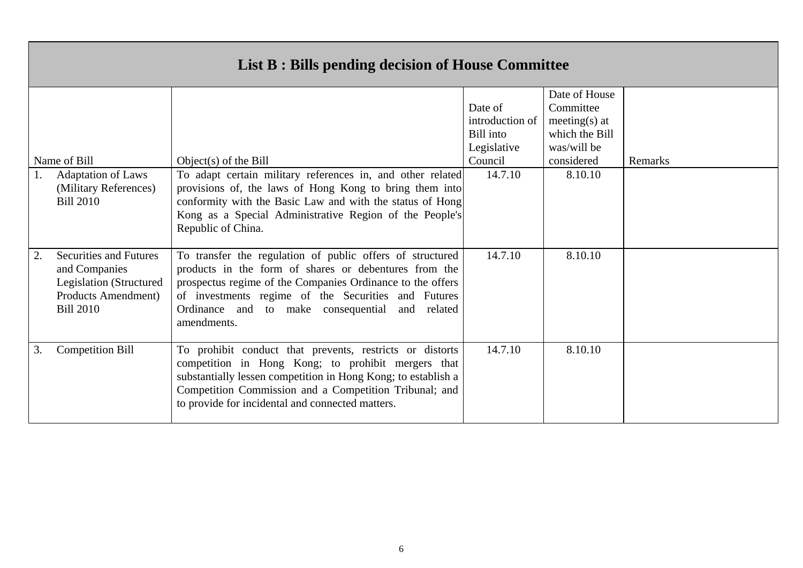| Name of Bill                                                                                                                       | Object(s) of the Bill                                                                                                                                                                                                                                                                                     | Date of<br>introduction of<br>Bill into<br>Legislative<br>Council | Date of House<br>Committee<br>meeting(s) at<br>which the Bill<br>was/will be<br>considered | Remarks |
|------------------------------------------------------------------------------------------------------------------------------------|-----------------------------------------------------------------------------------------------------------------------------------------------------------------------------------------------------------------------------------------------------------------------------------------------------------|-------------------------------------------------------------------|--------------------------------------------------------------------------------------------|---------|
| <b>Adaptation of Laws</b><br>(Military References)<br><b>Bill 2010</b>                                                             | To adapt certain military references in, and other related<br>provisions of, the laws of Hong Kong to bring them into<br>conformity with the Basic Law and with the status of Hong<br>Kong as a Special Administrative Region of the People's<br>Republic of China.                                       | 14.7.10                                                           | 8.10.10                                                                                    |         |
| <b>Securities and Futures</b><br>2.<br>and Companies<br>Legislation (Structured<br><b>Products Amendment</b> )<br><b>Bill 2010</b> | To transfer the regulation of public offers of structured<br>products in the form of shares or debentures from the<br>prospectus regime of the Companies Ordinance to the offers<br>of investments regime of the Securities and Futures<br>Ordinance and to make consequential and related<br>amendments. | 14.7.10                                                           | 8.10.10                                                                                    |         |
| <b>Competition Bill</b><br>3.                                                                                                      | To prohibit conduct that prevents, restricts or distorts<br>competition in Hong Kong; to prohibit mergers that<br>substantially lessen competition in Hong Kong; to establish a<br>Competition Commission and a Competition Tribunal; and<br>to provide for incidental and connected matters.             | 14.7.10                                                           | 8.10.10                                                                                    |         |

#### **List B : Bills pending decision of House Committee**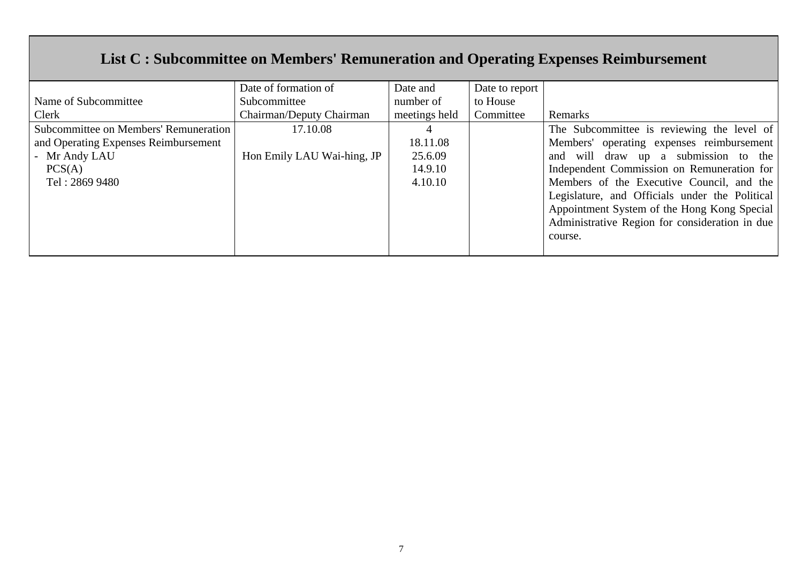## **List C : Subcommittee on Members' Remuneration and Operating Expenses Reimbursement**

|                                       | Date of formation of       | Date and      | Date to report |                                                |
|---------------------------------------|----------------------------|---------------|----------------|------------------------------------------------|
| Name of Subcommittee                  | Subcommittee               | number of     | to House       |                                                |
| Clerk                                 | Chairman/Deputy Chairman   | meetings held | Committee      | Remarks                                        |
| Subcommittee on Members' Remuneration | 17.10.08                   |               |                | The Subcommittee is reviewing the level of     |
| and Operating Expenses Reimbursement  |                            | 18.11.08      |                | Members' operating expenses reimbursement      |
| - Mr Andy LAU                         | Hon Emily LAU Wai-hing, JP | 25.6.09       |                | and will draw up a submission to the           |
| PCS(A)                                |                            | 14.9.10       |                | Independent Commission on Remuneration for     |
| Tel: 2869 9480                        |                            | 4.10.10       |                | Members of the Executive Council, and the      |
|                                       |                            |               |                | Legislature, and Officials under the Political |
|                                       |                            |               |                | Appointment System of the Hong Kong Special    |
|                                       |                            |               |                | Administrative Region for consideration in due |
|                                       |                            |               |                | course.                                        |
|                                       |                            |               |                |                                                |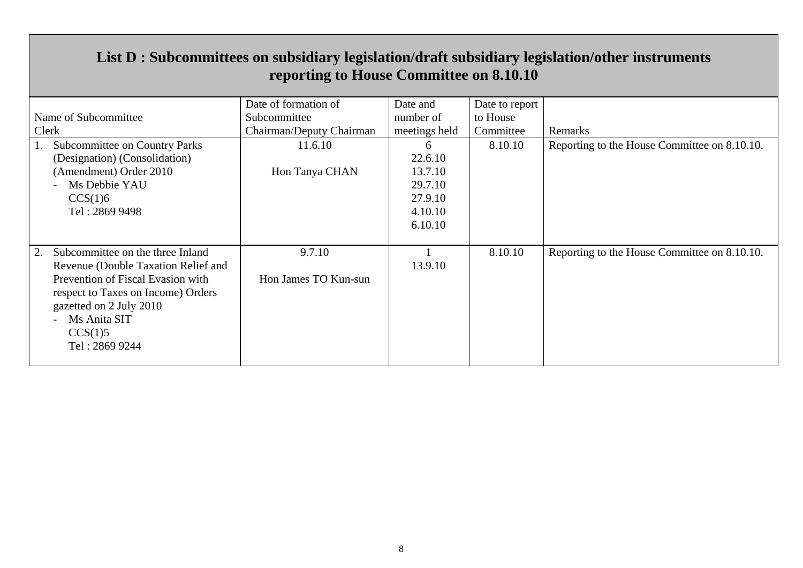| reporting to House Committee on 8.10.10 |                          |               |                |                                              |  |  |  |  |
|-----------------------------------------|--------------------------|---------------|----------------|----------------------------------------------|--|--|--|--|
|                                         | Date of formation of     | Date and      | Date to report |                                              |  |  |  |  |
| Name of Subcommittee                    | Subcommittee             | number of     | to House       |                                              |  |  |  |  |
| Clerk                                   | Chairman/Deputy Chairman | meetings held | Committee      | Remarks                                      |  |  |  |  |
| Subcommittee on Country Parks           | 11.6.10                  | 6             | 8.10.10        | Reporting to the House Committee on 8.10.10. |  |  |  |  |
| (Designation) (Consolidation)           |                          | 22.6.10       |                |                                              |  |  |  |  |
| (Amendment) Order 2010                  | Hon Tanya CHAN           | 13.7.10       |                |                                              |  |  |  |  |
| Ms Debbie YAU                           |                          | 29.7.10       |                |                                              |  |  |  |  |
| CCS(1)6                                 |                          | 27.9.10       |                |                                              |  |  |  |  |
| Tel: 2869 9498                          |                          | 4.10.10       |                |                                              |  |  |  |  |
|                                         |                          | 6.10.10       |                |                                              |  |  |  |  |
|                                         |                          |               |                |                                              |  |  |  |  |
| Subcommittee on the three Inland<br>2.  | 9.7.10                   |               | 8.10.10        | Reporting to the House Committee on 8.10.10. |  |  |  |  |
| Revenue (Double Taxation Relief and     |                          | 13.9.10       |                |                                              |  |  |  |  |
| Prevention of Fiscal Evasion with       | Hon James TO Kun-sun     |               |                |                                              |  |  |  |  |
| respect to Taxes on Income) Orders      |                          |               |                |                                              |  |  |  |  |
| gazetted on 2 July 2010                 |                          |               |                |                                              |  |  |  |  |
| Ms Anita SIT                            |                          |               |                |                                              |  |  |  |  |
| CCS(1)5                                 |                          |               |                |                                              |  |  |  |  |
| Tel: 2869 9244                          |                          |               |                |                                              |  |  |  |  |
|                                         |                          |               |                |                                              |  |  |  |  |

#### **List D : Subcommittees on subsidiary legislation/draft subsidiary legislation/other instruments reporting to House Committee on 8.10.10**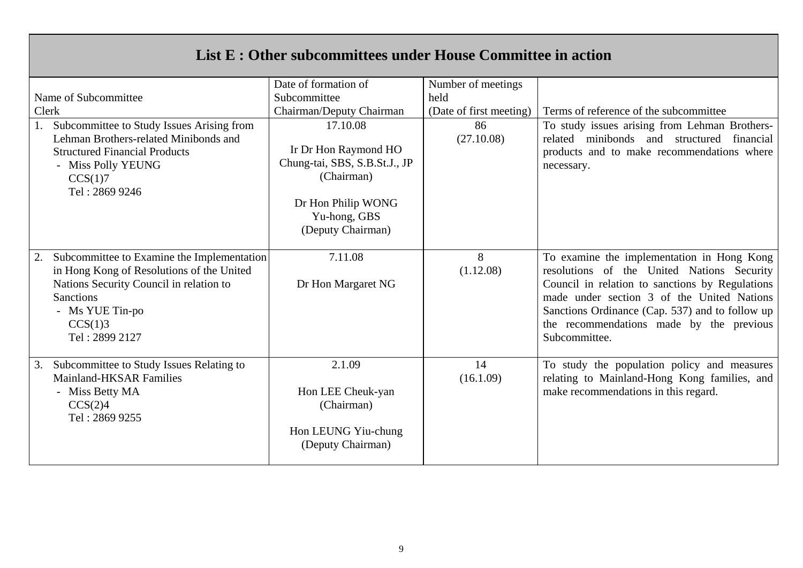| List E : Other subcommittees under House Committee in action                                                                                                                                                 |                                                                                                                                            |                         |                                                                                                                                                                                                                                                                                                           |  |  |  |  |
|--------------------------------------------------------------------------------------------------------------------------------------------------------------------------------------------------------------|--------------------------------------------------------------------------------------------------------------------------------------------|-------------------------|-----------------------------------------------------------------------------------------------------------------------------------------------------------------------------------------------------------------------------------------------------------------------------------------------------------|--|--|--|--|
|                                                                                                                                                                                                              | Date of formation of                                                                                                                       | Number of meetings      |                                                                                                                                                                                                                                                                                                           |  |  |  |  |
| Name of Subcommittee                                                                                                                                                                                         | Subcommittee                                                                                                                               | held                    |                                                                                                                                                                                                                                                                                                           |  |  |  |  |
| Clerk                                                                                                                                                                                                        | Chairman/Deputy Chairman                                                                                                                   | (Date of first meeting) | Terms of reference of the subcommittee                                                                                                                                                                                                                                                                    |  |  |  |  |
| Subcommittee to Study Issues Arising from<br>Lehman Brothers-related Minibonds and<br><b>Structured Financial Products</b><br>- Miss Polly YEUNG<br>CCS(1)7<br>Tel: 2869 9246                                | 17.10.08<br>Ir Dr Hon Raymond HO<br>Chung-tai, SBS, S.B.St.J., JP<br>(Chairman)<br>Dr Hon Philip WONG<br>Yu-hong, GBS<br>(Deputy Chairman) | 86<br>(27.10.08)        | To study issues arising from Lehman Brothers-<br>related minibonds and structured financial<br>products and to make recommendations where<br>necessary.                                                                                                                                                   |  |  |  |  |
| Subcommittee to Examine the Implementation<br>2.<br>in Hong Kong of Resolutions of the United<br>Nations Security Council in relation to<br><b>Sanctions</b><br>- Ms YUE Tin-po<br>CCS(1)3<br>Tel: 2899 2127 | 7.11.08<br>Dr Hon Margaret NG                                                                                                              | 8<br>(1.12.08)          | To examine the implementation in Hong Kong<br>resolutions of the United Nations Security<br>Council in relation to sanctions by Regulations<br>made under section 3 of the United Nations<br>Sanctions Ordinance (Cap. 537) and to follow up<br>the recommendations made by the previous<br>Subcommittee. |  |  |  |  |
| Subcommittee to Study Issues Relating to<br>3.<br><b>Mainland-HKSAR Families</b><br>- Miss Betty MA<br>CCS(2)4<br>Tel: 2869 9255                                                                             | 2.1.09<br>Hon LEE Cheuk-yan<br>(Chairman)<br>Hon LEUNG Yiu-chung<br>(Deputy Chairman)                                                      | 14<br>(16.1.09)         | To study the population policy and measures<br>relating to Mainland-Hong Kong families, and<br>make recommendations in this regard.                                                                                                                                                                       |  |  |  |  |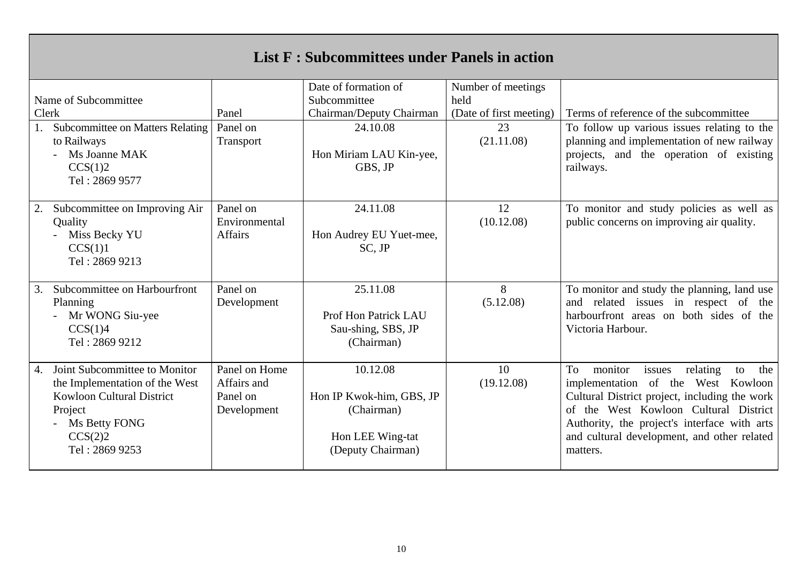### **List F : Subcommittees under Panels in action**

|                      |                                         |                | Date of formation of     | Number of meetings      |                                                  |
|----------------------|-----------------------------------------|----------------|--------------------------|-------------------------|--------------------------------------------------|
| Name of Subcommittee |                                         |                | Subcommittee             | held                    |                                                  |
|                      | Clerk                                   | Panel          | Chairman/Deputy Chairman | (Date of first meeting) | Terms of reference of the subcommittee           |
|                      | <b>Subcommittee on Matters Relating</b> | Panel on       | 24.10.08                 | 23                      | To follow up various issues relating to the      |
|                      | to Railways                             | Transport      |                          | (21.11.08)              | planning and implementation of new railway       |
|                      | Ms Joanne MAK                           |                | Hon Miriam LAU Kin-yee,  |                         | projects, and the operation of existing          |
|                      | CCS(1)2                                 |                | GBS, JP                  |                         | railways.                                        |
|                      | Tel: 2869 9577                          |                |                          |                         |                                                  |
|                      |                                         |                |                          |                         |                                                  |
| 2.                   | Subcommittee on Improving Air           | Panel on       | 24.11.08                 | 12                      | To monitor and study policies as well as         |
|                      | Quality                                 | Environmental  |                          | (10.12.08)              | public concerns on improving air quality.        |
|                      | Miss Becky YU                           | <b>Affairs</b> | Hon Audrey EU Yuet-mee,  |                         |                                                  |
|                      | CCS(1)1                                 |                | $SC$ , $JP$              |                         |                                                  |
|                      | Tel: 2869 9213                          |                |                          |                         |                                                  |
|                      |                                         |                |                          |                         |                                                  |
| 3.                   | Subcommittee on Harbourfront            | Panel on       | 25.11.08                 | 8                       | To monitor and study the planning, land use      |
|                      | Planning                                | Development    |                          | (5.12.08)               | and related issues in respect of the             |
|                      | Mr WONG Siu-yee                         |                | Prof Hon Patrick LAU     |                         | harbourfront areas on both sides of the          |
|                      | CCS(1)4                                 |                | Sau-shing, SBS, JP       |                         | Victoria Harbour.                                |
|                      | Tel: 2869 9212                          |                | (Chairman)               |                         |                                                  |
|                      |                                         |                |                          |                         |                                                  |
| 4.                   | Joint Subcommittee to Monitor           | Panel on Home  | 10.12.08                 | 10                      | To<br>monitor<br>issues<br>relating<br>the<br>to |
|                      | the Implementation of the West          | Affairs and    |                          | (19.12.08)              | implementation of the West Kowloon               |
|                      | <b>Kowloon Cultural District</b>        | Panel on       | Hon IP Kwok-him, GBS, JP |                         | Cultural District project, including the work    |
|                      | Project                                 | Development    | (Chairman)               |                         | of the West Kowloon Cultural District            |
|                      | Ms Betty FONG                           |                |                          |                         | Authority, the project's interface with arts     |
|                      | CCS(2)2                                 |                | Hon LEE Wing-tat         |                         | and cultural development, and other related      |
|                      | Tel: 2869 9253                          |                | (Deputy Chairman)        |                         | matters.                                         |
|                      |                                         |                |                          |                         |                                                  |